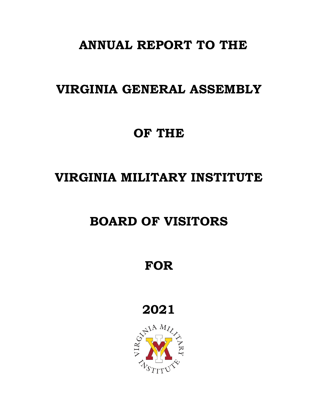# **ANNUAL REPORT TO THE**

### **VIRGINIA GENERAL ASSEMBLY**

### **OF THE**

# **VIRGINIA MILITARY INSTITUTE**

## **BOARD OF VISITORS**

**FOR**

**2021**

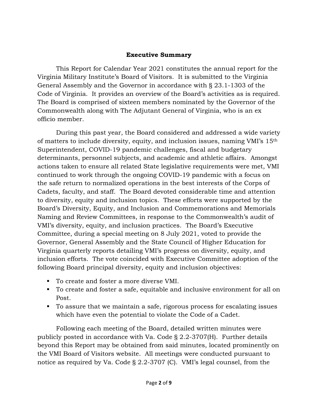#### **Executive Summary**

This Report for Calendar Year 2021 constitutes the annual report for the Virginia Military Institute's Board of Visitors. It is submitted to the Virginia General Assembly and the Governor in accordance with § 23.1-1303 of the Code of Virginia. It provides an overview of the Board's activities as is required. The Board is comprised of sixteen members nominated by the Governor of the Commonwealth along with The Adjutant General of Virginia, who is an ex officio member.

During this past year, the Board considered and addressed a wide variety of matters to include diversity, equity, and inclusion issues, naming VMI's 15th Superintendent, COVID-19 pandemic challenges, fiscal and budgetary determinants, personnel subjects, and academic and athletic affairs. Amongst actions taken to ensure all related State legislative requirements were met, VMI continued to work through the ongoing COVID-19 pandemic with a focus on the safe return to normalized operations in the best interests of the Corps of Cadets, faculty, and staff. The Board devoted considerable time and attention to diversity, equity and inclusion topics. These efforts were supported by the Board's Diversity, Equity, and Inclusion and Commemorations and Memorials Naming and Review Committees, in response to the Commonwealth's audit of VMI's diversity, equity, and inclusion practices. The Board's Executive Committee, during a special meeting on 8 July 2021, voted to provide the Governor, General Assembly and the State Council of Higher Education for Virginia quarterly reports detailing VMI's progress on diversity, equity, and inclusion efforts. The vote coincided with Executive Committee adoption of the following Board principal diversity, equity and inclusion objectives:

- To create and foster a more diverse VMI.
- To create and foster a safe, equitable and inclusive environment for all on Post.
- To assure that we maintain a safe, rigorous process for escalating issues which have even the potential to violate the Code of a Cadet.

Following each meeting of the Board, detailed written minutes were publicly posted in accordance with Va. Code § 2.2-3707(H). Further details beyond this Report may be obtained from said minutes, located prominently on the VMI Board of Visitors website. All meetings were conducted pursuant to notice as required by Va. Code § 2.2-3707 (C). VMI's legal counsel, from the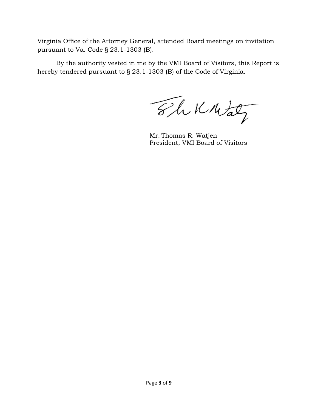Virginia Office of the Attorney General, attended Board meetings on invitation pursuant to Va. Code § 23.1-1303 (B).

By the authority vested in me by the VMI Board of Visitors, this Report is hereby tendered pursuant to § 23.1-1303 (B) of the Code of Virginia.

The Knitaty

Mr. Thomas R. Watjen President, VMI Board of Visitors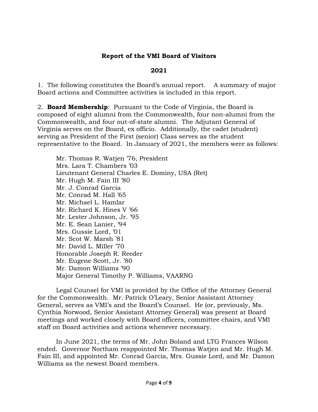#### **Report of the VMI Board of Visitors**

#### **2021**

1. The following constitutes the Board's annual report. A summary of major Board actions and Committee activities is included in this report.

2. **Board Membership**: Pursuant to the Code of Virginia, the Board is composed of eight alumni from the Commonwealth, four non-alumni from the Commonwealth, and four out-of-state alumni. The Adjutant General of Virginia serves on the Board, ex officio. Additionally, the cadet (student) serving as President of the First (senior) Class serves as the student representative to the Board. In January of 2021, the members were as follows:

Mr. Thomas R. Watjen '76, President Mrs. Lara T. Chambers '03 Lieutenant General Charles E. Dominy, USA (Ret) Mr. Hugh M. Fain III '80 Mr. J. Conrad Garcia Mr. Conrad M. Hall '65 Mr. Michael L. Hamlar Mr. Richard K. Hines V '66 Mr. Lester Johnson, Jr. '95 Mr. E. Sean Lanier, '94 Mrs. Gussie Lord, '01 Mr. Scot W. Marsh '81 Mr. David L. Miller '70 Honorable Joseph R. Reeder Mr. Eugene Scott, Jr. '80 Mr. Damon Williams '90 Major General Timothy P. Williams, VAARNG

Legal Counsel for VMI is provided by the Office of the Attorney General for the Commonwealth. Mr. Patrick O'Leary, Senior Assistant Attorney General, serves as VMI's and the Board's Counsel. He (or, previously, Ms. Cynthia Norwood, Senior Assistant Attorney General) was present at Board meetings and worked closely with Board officers, committee chairs, and VMI staff on Board activities and actions whenever necessary.

In June 2021, the terms of Mr. John Boland and LTG Frances Wilson ended. Governor Northam reappointed Mr. Thomas Watjen and Mr. Hugh M. Fain III, and appointed Mr. Conrad Garcia, Mrs. Gussie Lord, and Mr. Damon Williams as the newest Board members.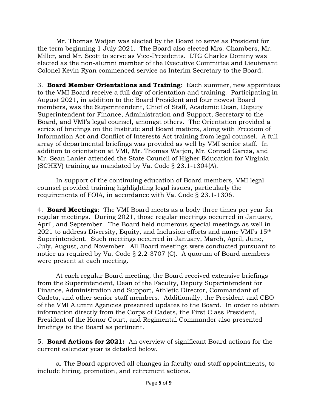Mr. Thomas Watjen was elected by the Board to serve as President for the term beginning 1 July 2021. The Board also elected Mrs. Chambers, Mr. Miller, and Mr. Scott to serve as Vice-Presidents. LTG Charles Dominy was elected as the non-alumni member of the Executive Committee and Lieutenant Colonel Kevin Ryan commenced service as Interim Secretary to the Board.

3. **Board Member Orientations and Training**: Each summer, new appointees to the VMI Board receive a full day of orientation and training. Participating in August 2021, in addition to the Board President and four newest Board members, was the Superintendent, Chief of Staff, Academic Dean, Deputy Superintendent for Finance, Administration and Support, Secretary to the Board, and VMI's legal counsel, amongst others. The Orientation provided a series of briefings on the Institute and Board matters, along with Freedom of Information Act and Conflict of Interests Act training from legal counsel. A full array of departmental briefings was provided as well by VMI senior staff. In addition to orientation at VMI, Mr. Thomas Watjen, Mr. Conrad Garcia, and Mr. Sean Lanier attended the State Council of Higher Education for Virginia (SCHEV) training as mandated by Va. Code § 23.1-1304(A).

In support of the continuing education of Board members, VMI legal counsel provided training highlighting legal issues, particularly the requirements of FOIA, in accordance with Va. Code § 23.1-1306.

4. **Board Meetings**: The VMI Board meets as a body three times per year for regular meetings. During 2021, those regular meetings occurred in January, April, and September. The Board held numerous special meetings as well in 2021 to address Diversity, Equity, and Inclusion efforts and name VMI's 15th Superintendent. Such meetings occurred in January, March, April, June, July, August, and November. All Board meetings were conducted pursuant to notice as required by Va. Code § 2.2-3707 (C). A quorum of Board members were present at each meeting.

At each regular Board meeting, the Board received extensive briefings from the Superintendent, Dean of the Faculty, Deputy Superintendent for Finance, Administration and Support, Athletic Director, Commandant of Cadets, and other senior staff members. Additionally, the President and CEO of the VMI Alumni Agencies presented updates to the Board. In order to obtain information directly from the Corps of Cadets, the First Class President, President of the Honor Court, and Regimental Commander also presented briefings to the Board as pertinent.

5. **Board Actions for 2021:** An overview of significant Board actions for the current calendar year is detailed below.

a. The Board approved all changes in faculty and staff appointments, to include hiring, promotion, and retirement actions.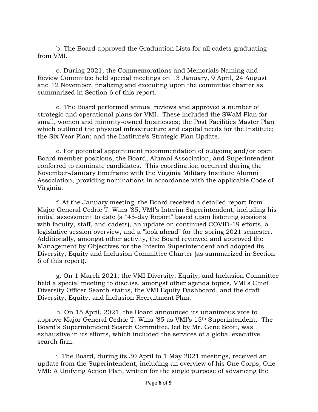b. The Board approved the Graduation Lists for all cadets graduating from VMI.

c. During 2021, the Commemorations and Memorials Naming and Review Committee held special meetings on 13 January, 9 April, 24 August and 12 November, finalizing and executing upon the committee charter as summarized in Section 6 of this report.

d. The Board performed annual reviews and approved a number of strategic and operational plans for VMI. These included the SWaM Plan for small, women and minority-owned businesses; the Post Facilities Master Plan which outlined the physical infrastructure and capital needs for the Institute; the Six Year Plan; and the Institute's Strategic Plan Update.

e. For potential appointment recommendation of outgoing and/or open Board member positions, the Board, Alumni Association, and Superintendent conferred to nominate candidates. This coordination occurred during the November-January timeframe with the Virginia Military Institute Alumni Association, providing nominations in accordance with the applicable Code of Virginia.

f. At the January meeting, the Board received a detailed report from Major General Cedric T. Wins '85, VMI's Interim Superintendent, including his initial assessment to date (a "45-day Report" based upon listening sessions with faculty, staff, and cadets), an update on continued COVID-19 efforts, a legislative session overview, and a "look ahead" for the spring 2021 semester. Additionally, amongst other activity, the Board reviewed and approved the Management by Objectives for the Interim Superintendent and adopted its Diversity, Equity and Inclusion Committee Charter (as summarized in Section 6 of this report).

g. On 1 March 2021, the VMI Diversity, Equity, and Inclusion Committee held a special meeting to discuss, amongst other agenda topics, VMI's Chief Diversity Officer Search status, the VMI Equity Dashboard, and the draft Diversity, Equity, and Inclusion Recruitment Plan.

h. On 15 April, 2021, the Board announced its unanimous vote to approve Major General Cedric T. Wins '85 as VMI's 15th Superintendent. The Board's Superintendent Search Committee, led by Mr. Gene Scott, was exhaustive in its efforts, which included the services of a global executive search firm.

i. The Board, during its 30 April to 1 May 2021 meetings, received an update from the Superintendent, including an overview of his One Corps, One VMI: A Unifying Action Plan, written for the single purpose of advancing the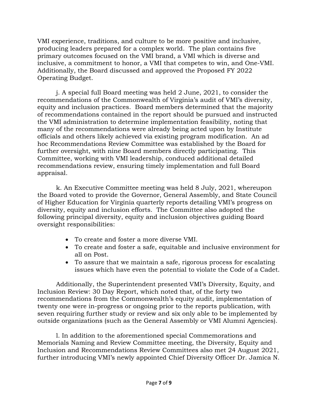VMI experience, traditions, and culture to be more positive and inclusive, producing leaders prepared for a complex world. The plan contains five primary outcomes focused on the VMI brand, a VMI which is diverse and inclusive, a commitment to honor, a VMI that competes to win, and One-VMI. Additionally, the Board discussed and approved the Proposed FY 2022 Operating Budget.

j. A special full Board meeting was held 2 June, 2021, to consider the recommendations of the Commonwealth of Virginia's audit of VMI's diversity, equity and inclusion practices. Board members determined that the majority of recommendations contained in the report should be pursued and instructed the VMI administration to determine implementation feasibility, noting that many of the recommendations were already being acted upon by Institute officials and others likely achieved via existing program modification. An ad hoc Recommendations Review Committee was established by the Board for further oversight, with nine Board members directly participating. This Committee, working with VMI leadership, conduced additional detailed recommendations review, ensuring timely implementation and full Board appraisal.

k. An Executive Committee meeting was held 8 July, 2021, whereupon the Board voted to provide the Governor, General Assembly, and State Council of Higher Education for Virginia quarterly reports detailing VMI's progress on diversity, equity and inclusion efforts. The Committee also adopted the following principal diversity, equity and inclusion objectives guiding Board oversight responsibilities:

- To create and foster a more diverse VMI.
- To create and foster a safe, equitable and inclusive environment for all on Post.
- To assure that we maintain a safe, rigorous process for escalating issues which have even the potential to violate the Code of a Cadet.

Additionally, the Superintendent presented VMI's Diversity, Equity, and Inclusion Review: 30 Day Report, which noted that, of the forty two recommendations from the Commonwealth's equity audit, implementation of twenty one were in-progress or ongoing prior to the reports publication, with seven requiring further study or review and six only able to be implemented by outside organizations (such as the General Assembly or VMI Alumni Agencies).

l. In addition to the aforementioned special Commemorations and Memorials Naming and Review Committee meeting, the Diversity, Equity and Inclusion and Recommendations Review Committees also met 24 August 2021, further introducing VMI's newly appointed Chief Diversity Officer Dr. Jamica N.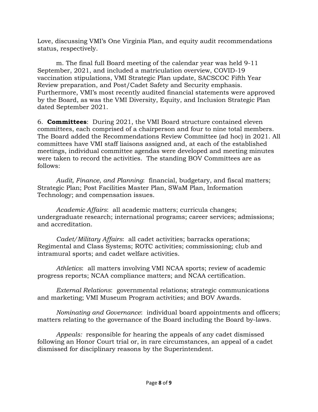Love, discussing VMI's One Virginia Plan, and equity audit recommendations status, respectively.

m. The final full Board meeting of the calendar year was held 9-11 September, 2021, and included a matriculation overview, COVID-19 vaccination stipulations, VMI Strategic Plan update, SACSCOC Fifth Year Review preparation, and Post/Cadet Safety and Security emphasis. Furthermore, VMI's most recently audited financial statements were approved by the Board, as was the VMI Diversity, Equity, and Inclusion Strategic Plan dated September 2021.

6. **Committees**: During 2021, the VMI Board structure contained eleven committees, each comprised of a chairperson and four to nine total members. The Board added the Recommendations Review Committee (ad hoc) in 2021. All committees have VMI staff liaisons assigned and, at each of the established meetings, individual committee agendas were developed and meeting minutes were taken to record the activities. The standing BOV Committees are as follows:

*Audit, Finance, and Planning*: financial, budgetary, and fiscal matters; Strategic Plan; Post Facilities Master Plan, SWaM Plan, Information Technology; and compensation issues.

*Academic Affairs*: all academic matters; curricula changes; undergraduate research; international programs; career services; admissions; and accreditation.

*Cadet/Military Affairs*: all cadet activities; barracks operations; Regimental and Class Systems; ROTC activities; commissioning; club and intramural sports; and cadet welfare activities.

*Athletics*: all matters involving VMI NCAA sports; review of academic progress reports; NCAA compliance matters; and NCAA certification.

*External Relations*: governmental relations; strategic communications and marketing; VMI Museum Program activities; and BOV Awards.

*Nominating and Governance*: individual board appointments and officers; matters relating to the governance of the Board including the Board by-laws.

*Appeals:* responsible for hearing the appeals of any cadet dismissed following an Honor Court trial or, in rare circumstances, an appeal of a cadet dismissed for disciplinary reasons by the Superintendent.